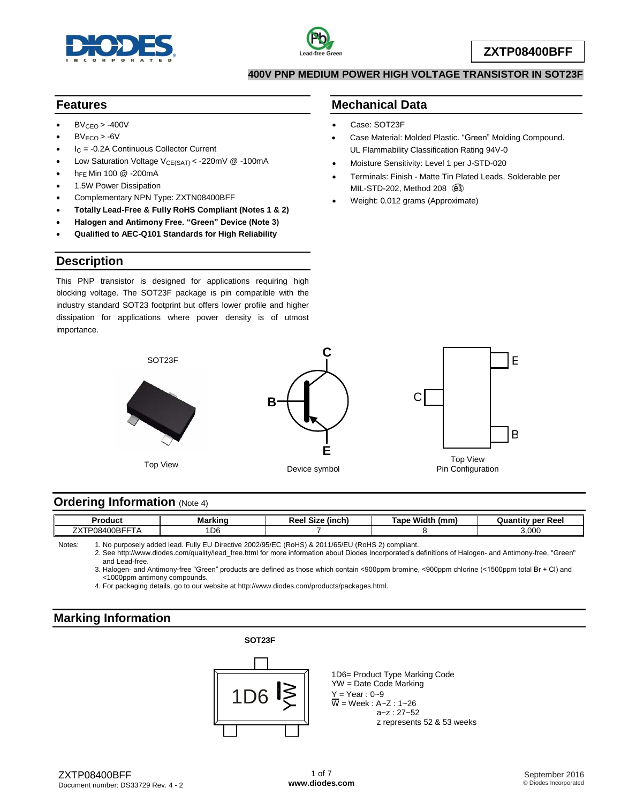



#### **400V PNP MEDIUM POWER HIGH VOLTAGE TRANSISTOR IN SOT23F**

## **Features**

- $BV<sub>CEO</sub> > -400V$
- $BV_{FCO}$  > -6V
- $I<sub>C</sub> = -0.2A$  Continuous Collector Current
- Low Saturation Voltage  $V_{CE(SAT)} < -220$ mV @ -100mA
- hFE Min 100 @ -200mA
- 1.5W Power Dissipation
- Complementary NPN Type: ZXTN08400BFF
- **Totally Lead-Free & Fully RoHS Compliant (Notes 1 & 2)**
- **Halogen and Antimony Free. "Green" Device (Note 3)**
- **Qualified to AEC-Q101 Standards for High Reliability**

## **Description**

This PNP transistor is designed for applications requiring high blocking voltage. The SOT23F package is pin compatible with the industry standard SOT23 footprint but offers lower profile and higher dissipation for applications where power density is of utmost importance.

## **Mechanical Data**

- Case: SOT23F
- Case Material: Molded Plastic. "Green" Molding Compound. UL Flammability Classification Rating 94V-0
- Moisture Sensitivity: Level 1 per J-STD-020
- Terminals: Finish Matte Tin Plated Leads, Solderable per MIL-STD-202, Method 208 @3
- Weight: 0.012 grams (Approximate)



## **Ordering Information (Note 4)**

| - -<br>.<br>oauc.                                                       |    | --- | a Widd<br>l on o<br>.<br>$\overline{\phantom{a}}$ | ⊷∼<br>.<br><br>ncc |
|-------------------------------------------------------------------------|----|-----|---------------------------------------------------|--------------------|
| $\sim$ $\sim$ $\sim$ $\sim$ $\sim$ $\sim$ $\sim$ $\sim$<br><i>n</i><br> | DE |     |                                                   | 3 UUU<br>,vvt      |

Notes: 1. No purposely added lead. Fully EU Directive 2002/95/EC (RoHS) & 2011/65/EU (RoHS 2) compliant.

2. See [http://www.diodes.com/quality/lead\\_free.html](http://www.diodes.com/quality/lead_free.html) for more information about Diodes Incorporated's definitions of Halogen- and Antimony-free, "Green" and Lead-free.

3. Halogen- and Antimony-free "Green" products are defined as those which contain <900ppm bromine, <900ppm chlorine (<1500ppm total Br + Cl) and <1000ppm antimony compounds.

4. For packaging details, go to our website at [http://www.diodes.com/products/packages.html.](http://www.diodes.com/products/packages.html)

## **Marking Information**

#### **SOT23F**



1D6= Product Type Marking Code YW = Date Code Marking  $Y = Year : 0-9$  $\overline{W}$  = Week : A~Z : 1~26 a~z : 27~52 z represents 52 & 53 weeks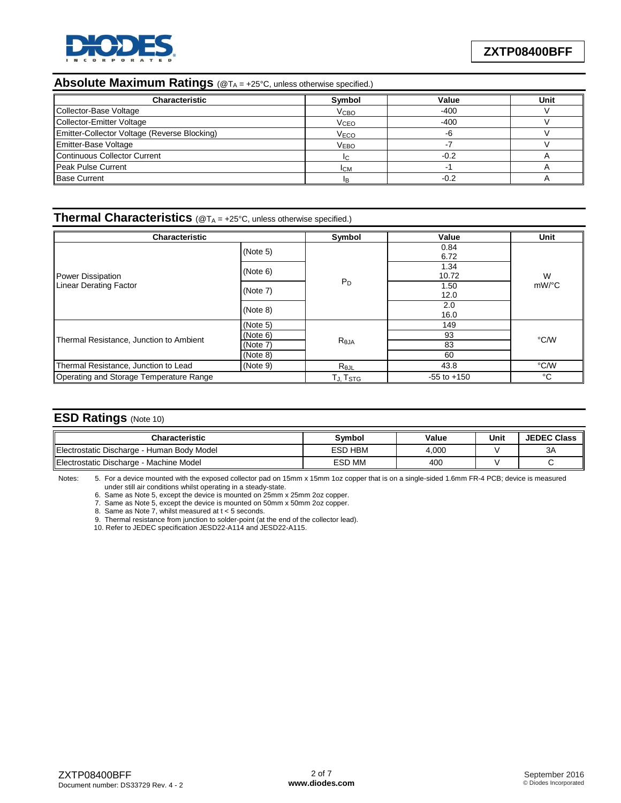

### **Absolute Maximum Ratings** (@T<sub>A</sub> = +25°C, unless otherwise specified.)

| <b>Characteristic</b>                        | Symbol                 | Value  | Unit |
|----------------------------------------------|------------------------|--------|------|
| Collector-Base Voltage                       | <b>V<sub>CBO</sub></b> | $-400$ |      |
| Collector-Emitter Voltage                    | <b>V<sub>CEO</sub></b> | $-400$ |      |
| Emitter-Collector Voltage (Reverse Blocking) | <b>V<sub>ECO</sub></b> | -6     |      |
| Emitter-Base Voltage                         | <b>VEBO</b>            |        |      |
| <b>Continuous Collector Current</b>          | IC.                    | $-0.2$ |      |
| Peak Pulse Current                           | Iсм                    |        |      |
| <b>Base Current</b>                          |                        | $-0.2$ |      |

#### **Thermal Characteristics** (@T<sub>A</sub> = +25°C, unless otherwise specified.)

| <b>Characteristic</b>                   | Symbol               | Value           | Unit          |               |  |
|-----------------------------------------|----------------------|-----------------|---------------|---------------|--|
|                                         | (Note 5)             |                 | 0.84<br>6.72  |               |  |
| Power Dissipation                       | (Note 6)             |                 | 1.34<br>10.72 | W<br>$mW$ /°C |  |
| <b>Linear Derating Factor</b>           | (Note 7)             | $P_D$           | 1.50<br>12.0  |               |  |
|                                         | (Note 8)             |                 | 2.0<br>16.0   |               |  |
|                                         | (Note 5)             |                 | 149           |               |  |
|                                         | (Note 6)             |                 | 93            |               |  |
| Thermal Resistance, Junction to Ambient | (Note 7)             | Reja            | 83            | °C/W          |  |
|                                         | (Note 8)             |                 | 60            |               |  |
| Thermal Resistance, Junction to Lead    | (Note 9)             | $R_{\theta$ JL  | 43.8          | °C/W          |  |
| Operating and Storage Temperature Range | TJ, T <sub>STG</sub> | $-55$ to $+150$ | °C            |               |  |

#### **ESD Ratings** (Note 10)

| Characteristic                             | Svmbol         | Value | Unit | <b>JEDEC Class</b> |
|--------------------------------------------|----------------|-------|------|--------------------|
| Electrostatic Discharge - Human Body Model | <b>ESD HBM</b> | 4.000 |      | 3A                 |
| Electrostatic Discharge - Machine Model    | <b>ESD MM</b>  | 400   |      |                    |

Notes: 5. For a device mounted with the exposed collector pad on 15mm x 15mm 1oz copper that is on a single-sided 1.6mm FR-4 PCB; device is measured under still air conditions whilst operating in a steady-state.

6. Same as Note 5, except the device is mounted on 25mm x 25mm 2oz copper.

7. Same as Note 5, except the device is mounted on 50mm x 50mm 2oz copper.

8. Same as Note 7, whilst measured at t < 5 seconds.

9. Thermal resistance from junction to solder-point (at the end of the collector lead).

10. Refer to JEDEC specification JESD22-A114 and JESD22-A115.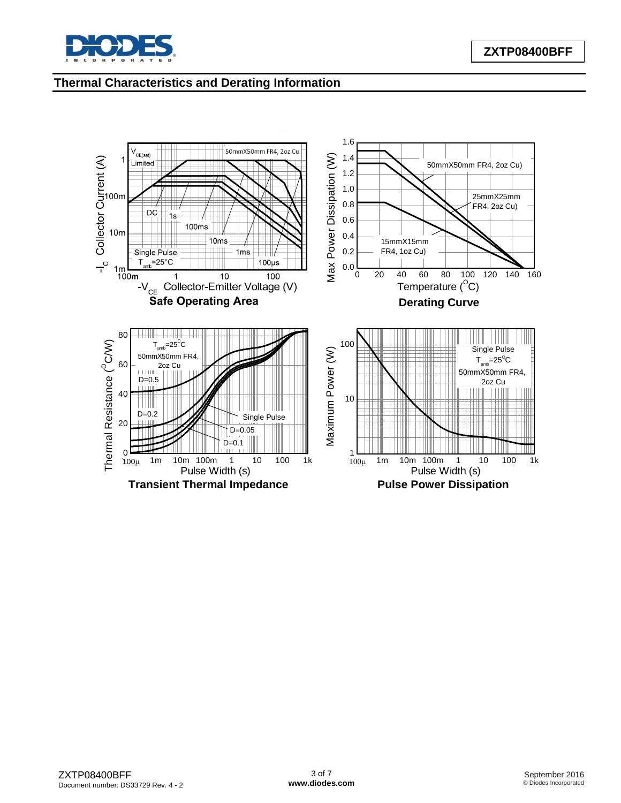

# **Thermal Characteristics and Derating Information**

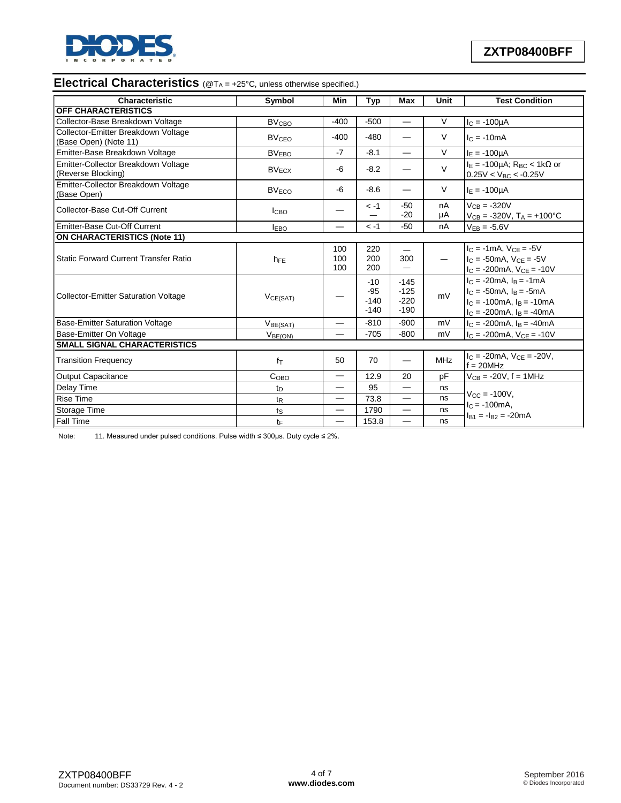

# **Electrical Characteristics** (@T<sub>A</sub> = +25°C, unless otherwise specified.)

| Characteristic                                               | Symbol                  | Min                      | <b>Typ</b>                         | Max                                  | <b>Unit</b> | <b>Test Condition</b>                                                                                                                            |
|--------------------------------------------------------------|-------------------------|--------------------------|------------------------------------|--------------------------------------|-------------|--------------------------------------------------------------------------------------------------------------------------------------------------|
| OFF CHARACTERISTICS                                          |                         |                          |                                    |                                      |             |                                                                                                                                                  |
| Collector-Base Breakdown Voltage                             | <b>BV<sub>CBO</sub></b> | $-400$                   | $-500$                             | $\overline{\phantom{0}}$             | V           | $I_C = -100 \mu A$                                                                                                                               |
| Collector-Emitter Breakdown Voltage<br>(Base Open) (Note 11) | <b>BV<sub>CEO</sub></b> | $-400$                   | $-480$                             |                                      | $\vee$      | $lc = -10mA$                                                                                                                                     |
| Emitter-Base Breakdown Voltage                               | <b>BV<sub>EBO</sub></b> | $-7$                     | $-8.1$                             | $\overline{\phantom{0}}$             | $\vee$      | $I_E = -100 \mu A$                                                                                                                               |
| Emitter-Collector Breakdown Voltage<br>(Reverse Blocking)    | $BV_{ECX}$              | -6                       | $-8.2$                             |                                      | $\vee$      | $I_E$ = -100µA; R <sub>BC</sub> < 1k $\Omega$ or<br>$0.25V < V_{BC} < -0.25V$                                                                    |
| Emitter-Collector Breakdown Voltage<br>(Base Open)           | <b>BV<sub>ECO</sub></b> | -6                       | $-8.6$                             |                                      | $\vee$      | $I_E = -100 \mu A$                                                                                                                               |
| Collector-Base Cut-Off Current                               | <b>ICBO</b>             |                          | $-1$                               | $-50$<br>$-20$                       | nA<br>μA    | $V_{CB} = -320V$<br>$V_{CB} = -320V$ , $T_A = +100^{\circ}C$                                                                                     |
| Emitter-Base Cut-Off Current                                 | <b>IEBO</b>             |                          | $-1$                               | $-50$                                | nA          | $V_{EB} = -5.6V$                                                                                                                                 |
| <b>ON CHARACTERISTICS (Note 11)</b>                          |                         |                          |                                    |                                      |             |                                                                                                                                                  |
| <b>Static Forward Current Transfer Ratio</b>                 | h <sub>FE</sub>         | 100<br>100<br>100        | 220<br>200<br>200                  | 300                                  |             | $I_C = -1mA$ , $V_{CE} = -5V$<br>$I_C = -50mA$ , $V_{CE} = -5V$<br>$I_C = -200mA$ , $V_{CE} = -10V$                                              |
| <b>Collector-Emitter Saturation Voltage</b>                  | VCE(SAT)                |                          | $-10$<br>$-95$<br>$-140$<br>$-140$ | $-145$<br>$-125$<br>$-220$<br>$-190$ | mV          | $I_C = -20mA$ , $I_B = -1mA$<br>$I_C = -50mA$ , $I_B = -5mA$<br>$I_C = -100 \text{mA}$ , $I_B = -10 \text{mA}$<br>$I_C = -200mA$ , $I_B = -40mA$ |
| <b>Base-Emitter Saturation Voltage</b>                       | V <sub>BE(SAT)</sub>    | $\overline{\phantom{0}}$ | $-810$                             | $-900$                               | mV          | $I_C = -200mA, I_B = -40mA$                                                                                                                      |
| Base-Emitter On Voltage                                      | V <sub>BE(ON)</sub>     |                          | $-705$                             | $-800$                               | mV          | $I_C = -200mA$ , $V_{CE} = -10V$                                                                                                                 |
| <b>SMALL SIGNAL CHARACTERISTICS</b>                          |                         |                          |                                    |                                      |             |                                                                                                                                                  |
| <b>Transition Frequency</b>                                  | $f_{\text{T}}$          | 50                       | 70                                 |                                      | <b>MHz</b>  | $I_C = -20mA$ , $V_{CE} = -20V$ ,<br>$f = 20$ MHz                                                                                                |
| <b>Output Capacitance</b>                                    | C <sub>OBO</sub>        | $\overline{\phantom{0}}$ | 12.9                               | 20                                   | pF          | $V_{CB} = -20V$ , f = 1MHz                                                                                                                       |
| Delay Time                                                   | t <sub>D</sub>          |                          | 95                                 |                                      | ns          |                                                                                                                                                  |
| <b>Rise Time</b>                                             | $t_{\mathsf{R}}$        | $\overline{\phantom{0}}$ | 73.8                               | $\overline{\phantom{0}}$             | ns          | $V_{\rm CC} = -100V$ .<br>$IC = -100mA$ ,                                                                                                        |
| Storage Time                                                 | $t_{\rm S}$             |                          | 1790                               | $\overline{\phantom{0}}$             | ns          | $I_{B1} = -I_{B2} = -20mA$                                                                                                                       |
| <b>Fall Time</b>                                             | $t_{F}$                 | $\overline{\phantom{0}}$ | 153.8                              | $\overline{\phantom{0}}$             | ns          |                                                                                                                                                  |

Note: 11. Measured under pulsed conditions. Pulse width ≤ 300µs. Duty cycle ≤ 2%.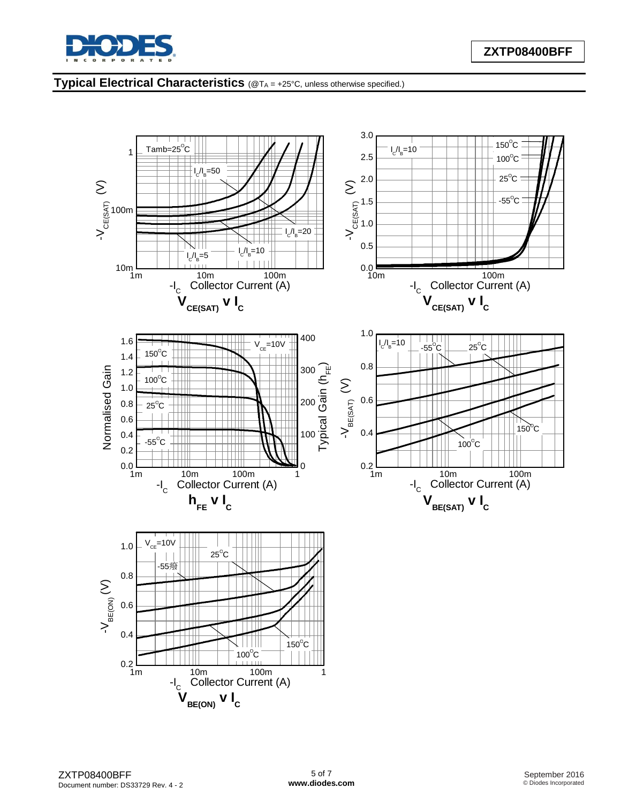

## **Typical Electrical Characteristics** (@T<sup>A</sup> = +25°C, unless otherwise specified.)

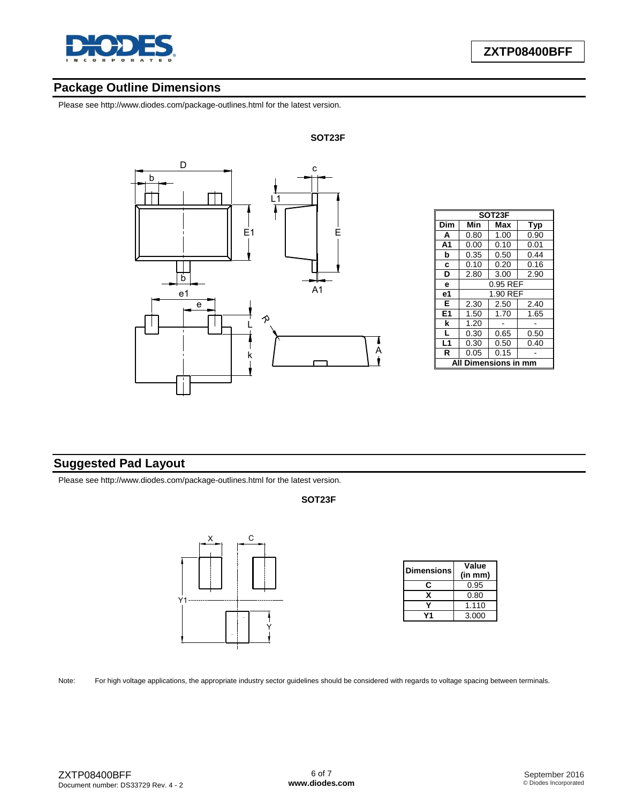

## **Package Outline Dimensions**

Please see <http://www.diodes.com/package-outlines.html> for the latest version.



| SOT23F         |                      |          |      |  |  |
|----------------|----------------------|----------|------|--|--|
| Dim            | Min                  | Max      | Typ  |  |  |
| A              | 0.80                 | 1.00     | 0.90 |  |  |
| A <sub>1</sub> | 0.00                 | 0.10     | 0.01 |  |  |
| b              | 0.35                 | 0.50     | 0.44 |  |  |
| C              | 0.10                 | 0.20     | 0.16 |  |  |
| D              | 2.80                 | 3.00     | 2.90 |  |  |
| e              | 0.95 REF             |          |      |  |  |
| e1             |                      | 1.90 REF |      |  |  |
| Е              | 2.30                 | 2.50     | 2.40 |  |  |
| E <sub>1</sub> | 1.50                 | 1.70     | 1.65 |  |  |
| k              | 1.20                 |          |      |  |  |
| L              | 0.30                 | 0.65     | 0.50 |  |  |
| L1             | 0.30                 | 0.50     | 0.40 |  |  |
| R              | 0.05                 | 0.15     |      |  |  |
| A              | <b>Dimensions in</b> |          |      |  |  |

## **Suggested Pad Layout**

Please see <http://www.diodes.com/package-outlines.html> for the latest version.

#### **SOT23F**



| <b>Dimensions</b> | Value<br>(in mm) |  |  |
|-------------------|------------------|--|--|
|                   | 0.95             |  |  |
| x                 | 0.80             |  |  |
|                   | 1.110            |  |  |
|                   | 3.000            |  |  |

Note: For high voltage applications, the appropriate industry sector guidelines should be considered with regards to voltage spacing between terminals.